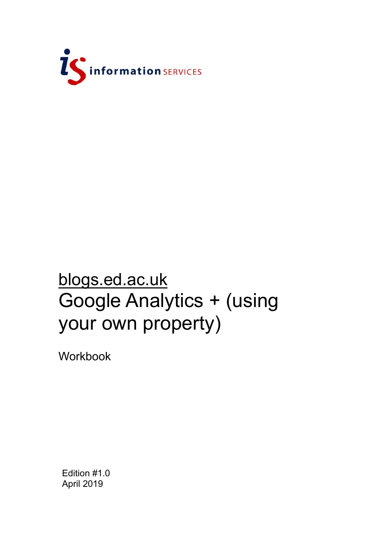

# blogs.ed.ac.uk Google Analytics + (using your own property)

Workbook

Edition #1.0 April 2019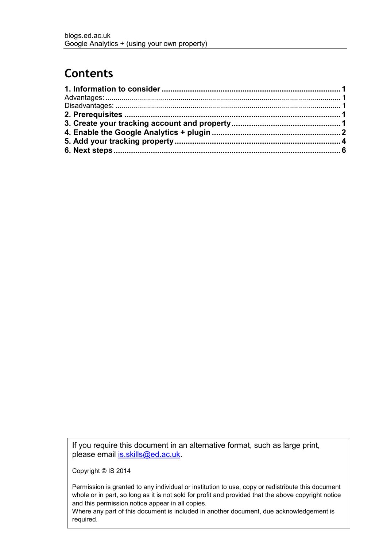# **Contents**

If you require this document in an alternative format, such as large print, please email is skills@ed.ac.uk.

Copyright © IS 2014

Permission is granted to any individual or institution to use, copy or redistribute this document whole or in part, so long as it is not sold for profit and provided that the above copyright notice and this permission notice appear in all copies.

Where any part of this document is included in another document, due acknowledgement is required.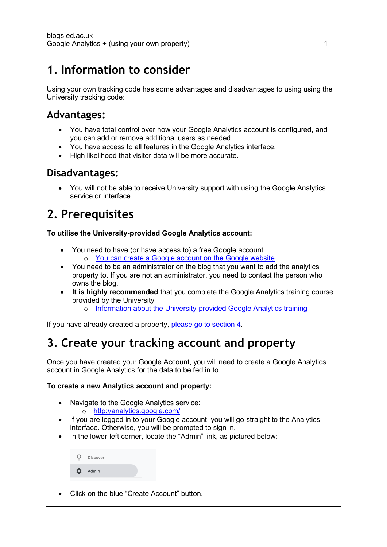### <span id="page-3-0"></span>**1. Information to consider**

Using your own tracking code has some advantages and disadvantages to using using the University tracking code:

### <span id="page-3-1"></span>**Advantages:**

- You have total control over how your Google Analytics account is configured, and you can add or remove additional users as needed.
- You have access to all features in the Google Analytics interface.
- High likelihood that visitor data will be more accurate.

### <span id="page-3-2"></span>**Disadvantages:**

 You will not be able to receive University support with using the Google Analytics service or interface.

### <span id="page-3-3"></span>**2. Prerequisites**

#### **To utilise the University-provided Google Analytics account:**

- You need to have (or have access to) a free Google account o [You can create a Google account on the Google website](https://myaccount.google.com/intro)
- You need to be an administrator on the blog that you want to add the analytics property to. If you are not an administrator, you need to contact the person who owns the blog.
- **It is highly recommended** that you complete the Google Analytics training course provided by the University
	- o [Information about the University-provided Google Analytics training](https://www.ed.ac.uk/information-services/website-publishing/training-support/courses/google-analytics)

If you have already created a property, [please go to section 4.](#page-4-0)

# <span id="page-3-4"></span>**3. Create your tracking account and property**

Once you have created your Google Account, you will need to create a Google Analytics account in Google Analytics for the data to be fed in to.

#### **To create a new Analytics account and property:**

- Navigate to the Google Analytics service: o <http://analytics.google.com/>
- If you are logged in to your Google account, you will go straight to the Analytics interface. Otherwise, you will be prompted to sign in.
- In the lower-left corner, locate the "Admin" link, as pictured below:

|          | <b>Discover</b> |  |
|----------|-----------------|--|
| $\alpha$ | Admin           |  |

Click on the blue "Create Account" button.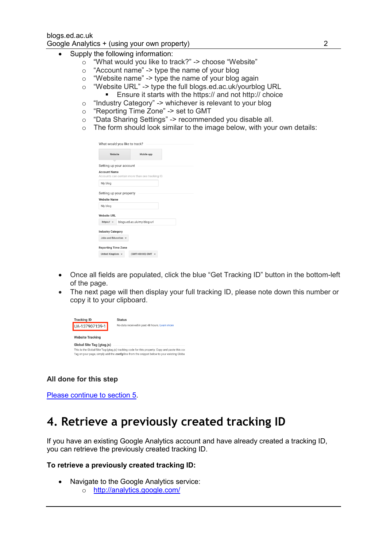- Supply the following information:
	- o "What would you like to track?" -> choose "Website"
	- o "Account name" -> type the name of your blog
	- o "Website name" -> type the name of your blog again
	- o "Website URL" -> type the full blogs.ed.ac.uk/yourblog URL
		- Ensure it starts with the https:// and not http:// choice
	- o "Industry Category" -> whichever is relevant to your blog
	- o "Reporting Time Zone" -> set to GMT
	- o "Data Sharing Settings" -> recommended you disable all.
	- o The form should look similar to the image below, with your own details:

| Website                                                                |                            | Mobile app |  |  |
|------------------------------------------------------------------------|----------------------------|------------|--|--|
| Setting up your account                                                |                            |            |  |  |
| <b>Account Name</b><br>Accounts can contain more than one tracking ID. |                            |            |  |  |
| My blog                                                                |                            |            |  |  |
| Setting up your property                                               |                            |            |  |  |
|                                                                        |                            |            |  |  |
|                                                                        |                            |            |  |  |
| My blog                                                                |                            |            |  |  |
|                                                                        |                            |            |  |  |
| <b>Website Name</b><br><b>Website URL</b><br>https:// $\sqrt{ }$       | blogs.ed.ac.uk/my-blog-url |            |  |  |
| <b>Industry Category</b>                                               |                            |            |  |  |
| Jobs and Education +                                                   |                            |            |  |  |

- Once all fields are populated, click the blue "Get Tracking ID" button in the bottom-left of the page.
- The next page will then display your full tracking ID, please note down this number or copy it to your clipboard.

| <b>Tracking ID</b>        | <b>Status</b>                                                                                     |
|---------------------------|---------------------------------------------------------------------------------------------------|
| UA-137907139-1            | No data received in past 48 hours. Learn more                                                     |
| <b>Website Tracking</b>   |                                                                                                   |
| Global Site Tag (gtag.js) |                                                                                                   |
|                           | This is the Global Site Tag (gtag.js) tracking code for this property. Copy and paste this coo    |
|                           | Tag on your page, simply add the <i>config</i> line from the snippet below to your existing Globa |

#### **All done for this step**

[Please continue to section 5.](#page-5-0)

### <span id="page-4-0"></span>**4. Retrieve a previously created tracking ID**

If you have an existing Google Analytics account and have already created a tracking ID, you can retrieve the previously created tracking ID.

#### **To retrieve a previously created tracking ID:**

- Navigate to the Google Analytics service:
	- o <http://analytics.google.com/>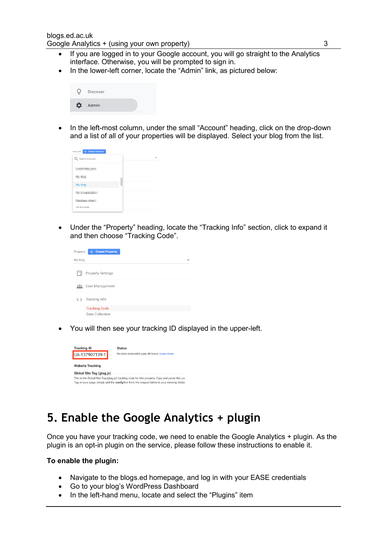- If you are logged in to your Google account, you will go straight to the Analytics interface. Otherwise, you will be prompted to sign in.
- In the lower-left corner, locate the "Admin" link, as pictured below:

|   | $Q$ Discover |  |
|---|--------------|--|
| ☆ | Admin        |  |

• In the left-most column, under the small "Account" heading, click on the drop-down and a list of all of your properties will be displayed. Select your blog from the list.

| Account + Create Account              |  |
|---------------------------------------|--|
| Q Select Account                      |  |
| -------<br><b>STATE OFFICE A REAL</b> |  |
| To The                                |  |
| My blog                               |  |
| τ                                     |  |
|                                       |  |
| 24 Accounts                           |  |

 Under the "Property" heading, locate the "Tracking Info" section, click to expand it and then choose "Tracking Code".

| Property  | <b>Create Property</b>   |  |
|-----------|--------------------------|--|
| My blog   |                          |  |
|           | <b>Property Settings</b> |  |
|           | User Management          |  |
| $\langle$ | Tracking Info            |  |
|           | <b>Tracking Code</b>     |  |
|           | Data Collection          |  |

You will then see your tracking ID displayed in the upper-left.

| <b>Tracking ID</b>        | <b>Status</b>                                                                                                                                                                                |
|---------------------------|----------------------------------------------------------------------------------------------------------------------------------------------------------------------------------------------|
| UA-137907139-1            | No data received in past 48 hours. Learn more                                                                                                                                                |
| <b>Website Tracking</b>   |                                                                                                                                                                                              |
| Global Site Tag (gtag.js) | This is the Global Site Tag (gtag.js) tracking code for this property. Copy and paste this coo<br>Tag on your page, simply add the config line from the snippet below to your existing Globa |

### <span id="page-5-0"></span>**5. Enable the Google Analytics + plugin**

Once you have your tracking code, we need to enable the Google Analytics + plugin. As the plugin is an opt-in plugin on the service, please follow these instructions to enable it.

#### **To enable the plugin:**

- Navigate to the blogs.ed homepage, and log in with your EASE credentials
- Go to your blog's WordPress Dashboard
- In the left-hand menu, locate and select the "Plugins" item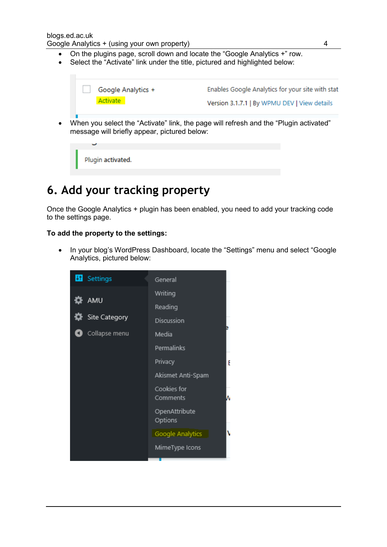- On the plugins page, scroll down and locate the "Google Analytics +" row.
- Select the "Activate" link under the title, pictured and highlighted below:



Plugin activated.

# <span id="page-6-0"></span>**6. Add your tracking property**

Once the Google Analytics + plugin has been enabled, you need to add your tracking code to the settings page.

#### **To add the property to the settings:**

• In your blog's WordPress Dashboard, locate the "Settings" menu and select "Google Analytics, pictured below:

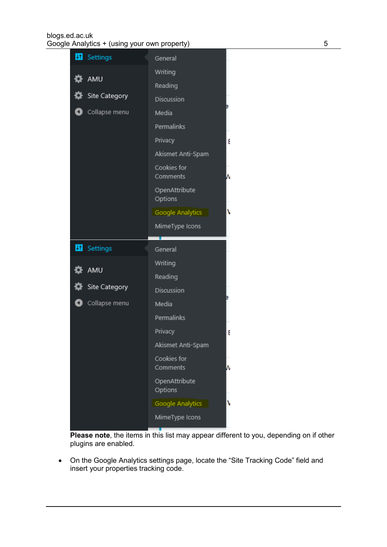#### blogs.ed.ac.uk Google Analytics + (using your own property) 6 5

| 41<br>Settings         | General                  |   |
|------------------------|--------------------------|---|
|                        | Writing                  |   |
| AMU                    | Reading                  |   |
| <b>W</b> Site Category | Discussion               |   |
| Collapse menu          | Media                    |   |
|                        | Permalinks               |   |
|                        | Privacy                  | F |
|                        | Akismet Anti-Spam        |   |
|                        | Cookies for<br>Comments  |   |
|                        | OpenAttribute<br>Options |   |
|                        | Google Analytics         |   |
|                        | MimeType Icons           |   |
|                        |                          |   |
|                        |                          |   |
| <b>H</b> Settings      | General                  |   |
|                        | Writing                  |   |
| <b>DE</b> AMU          | Reading                  |   |
| <b>W</b> Site Category | Discussion               |   |
| Collapse menu          | Media                    |   |
|                        | Permalinks               |   |
|                        | Privacy                  | E |
|                        | Akismet Anti-Spam        |   |
|                        | Cookies for<br>Comments  |   |
|                        | OpenAttribute<br>Options |   |
|                        | Google Analytics         |   |

**Please note**, the items in this list may appear different to you, depending on if other plugins are enabled.

 On the Google Analytics settings page, locate the "Site Tracking Code" field and insert your properties tracking code.